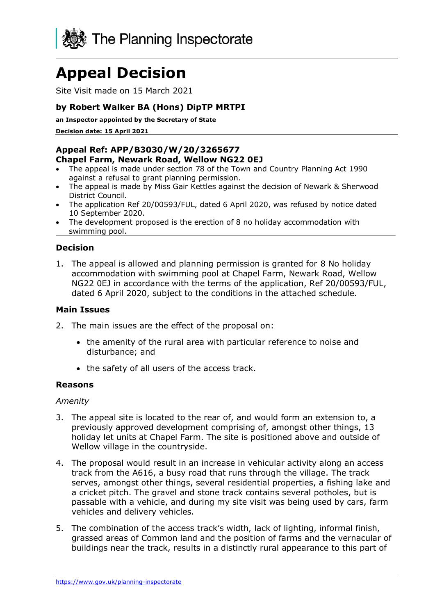

# **Appeal Decision**

Site Visit made on 15 March 2021

## **by Robert Walker BA (Hons) DipTP MRTPI**

**an Inspector appointed by the Secretary of State** 

**Decision date: 15 April 2021**

#### **Appeal Ref: APP/B3030/W/20/3265677 Chapel Farm, Newark Road, Wellow NG22 0EJ**

- The appeal is made under section 78 of the Town and Country Planning Act 1990 against a refusal to grant planning permission.
- The appeal is made by Miss Gair Kettles against the decision of Newark & Sherwood District Council.
- The application Ref 20/00593/FUL, dated 6 April 2020, was refused by notice dated 10 September 2020.
- The development proposed is the erection of 8 no holiday accommodation with swimming pool.

### **Decision**

1. The appeal is allowed and planning permission is granted for 8 No holiday accommodation with swimming pool at Chapel Farm, Newark Road, Wellow NG22 0EJ in accordance with the terms of the application, Ref 20/00593/FUL, dated 6 April 2020, subject to the conditions in the attached schedule.

#### **Main Issues**

- 2. The main issues are the effect of the proposal on:
	- the amenity of the rural area with particular reference to noise and disturbance; and
	- the safety of all users of the access track.

#### **Reasons**

#### *Amenity*

- 3. The appeal site is located to the rear of, and would form an extension to, a previously approved development comprising of, amongst other things, 13 holiday let units at Chapel Farm. The site is positioned above and outside of Wellow village in the countryside.
- 4. The proposal would result in an increase in vehicular activity along an access track from the A616, a busy road that runs through the village. The track serves, amongst other things, several residential properties, a fishing lake and a cricket pitch. The gravel and stone track contains several potholes, but is passable with a vehicle, and during my site visit was being used by cars, farm vehicles and delivery vehicles.
- 5. The combination of the access track's width, lack of lighting, informal finish, grassed areas of Common land and the position of farms and the vernacular of buildings near the track, results in a distinctly rural appearance to this part of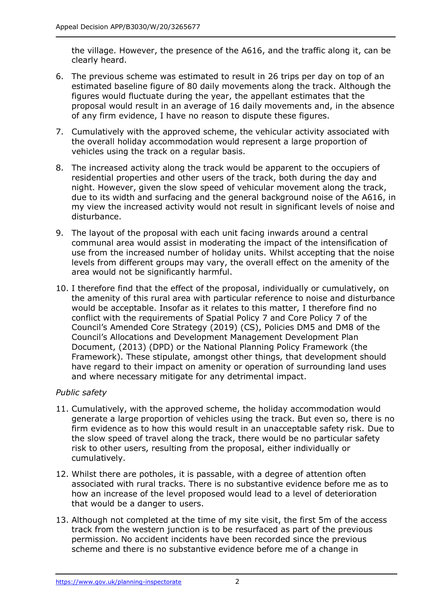the village. However, the presence of the A616, and the traffic along it, can be clearly heard.

- 6. The previous scheme was estimated to result in 26 trips per day on top of an estimated baseline figure of 80 daily movements along the track. Although the figures would fluctuate during the year, the appellant estimates that the proposal would result in an average of 16 daily movements and, in the absence of any firm evidence, I have no reason to dispute these figures.
- 7. Cumulatively with the approved scheme, the vehicular activity associated with the overall holiday accommodation would represent a large proportion of vehicles using the track on a regular basis.
- 8. The increased activity along the track would be apparent to the occupiers of residential properties and other users of the track, both during the day and night. However, given the slow speed of vehicular movement along the track, due to its width and surfacing and the general background noise of the A616, in my view the increased activity would not result in significant levels of noise and disturbance.
- 9. The layout of the proposal with each unit facing inwards around a central communal area would assist in moderating the impact of the intensification of use from the increased number of holiday units. Whilst accepting that the noise levels from different groups may vary, the overall effect on the amenity of the area would not be significantly harmful.
- 10. I therefore find that the effect of the proposal, individually or cumulatively, on the amenity of this rural area with particular reference to noise and disturbance would be acceptable. Insofar as it relates to this matter, I therefore find no conflict with the requirements of Spatial Policy 7 and Core Policy 7 of the Council's Amended Core Strategy (2019) (CS), Policies DM5 and DM8 of the Council's Allocations and Development Management Development Plan Document, (2013) (DPD) or the National Planning Policy Framework (the Framework). These stipulate, amongst other things, that development should have regard to their impact on amenity or operation of surrounding land uses and where necessary mitigate for any detrimental impact.

### *Public safety*

- 11. Cumulatively, with the approved scheme, the holiday accommodation would generate a large proportion of vehicles using the track. But even so, there is no firm evidence as to how this would result in an unacceptable safety risk. Due to the slow speed of travel along the track, there would be no particular safety risk to other users, resulting from the proposal, either individually or cumulatively.
- 12. Whilst there are potholes, it is passable, with a degree of attention often associated with rural tracks. There is no substantive evidence before me as to how an increase of the level proposed would lead to a level of deterioration that would be a danger to users.
- 13. Although not completed at the time of my site visit, the first 5m of the access track from the western junction is to be resurfaced as part of the previous permission. No accident incidents have been recorded since the previous scheme and there is no substantive evidence before me of a change in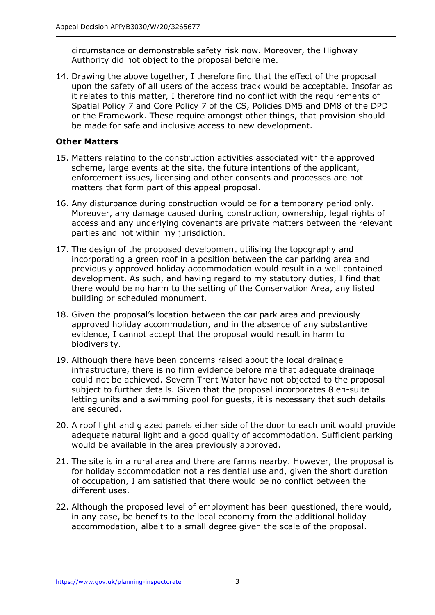circumstance or demonstrable safety risk now. Moreover, the Highway Authority did not object to the proposal before me.

14. Drawing the above together, I therefore find that the effect of the proposal upon the safety of all users of the access track would be acceptable. Insofar as it relates to this matter, I therefore find no conflict with the requirements of Spatial Policy 7 and Core Policy 7 of the CS, Policies DM5 and DM8 of the DPD or the Framework. These require amongst other things, that provision should be made for safe and inclusive access to new development.

### **Other Matters**

- 15. Matters relating to the construction activities associated with the approved scheme, large events at the site, the future intentions of the applicant, enforcement issues, licensing and other consents and processes are not matters that form part of this appeal proposal.
- 16. Any disturbance during construction would be for a temporary period only. Moreover, any damage caused during construction, ownership, legal rights of access and any underlying covenants are private matters between the relevant parties and not within my jurisdiction.
- 17. The design of the proposed development utilising the topography and incorporating a green roof in a position between the car parking area and previously approved holiday accommodation would result in a well contained development. As such, and having regard to my statutory duties, I find that there would be no harm to the setting of the Conservation Area, any listed building or scheduled monument.
- 18. Given the proposal's location between the car park area and previously approved holiday accommodation, and in the absence of any substantive evidence, I cannot accept that the proposal would result in harm to biodiversity.
- 19. Although there have been concerns raised about the local drainage infrastructure, there is no firm evidence before me that adequate drainage could not be achieved. Severn Trent Water have not objected to the proposal subject to further details. Given that the proposal incorporates 8 en-suite letting units and a swimming pool for guests, it is necessary that such details are secured.
- 20. A roof light and glazed panels either side of the door to each unit would provide adequate natural light and a good quality of accommodation. Sufficient parking would be available in the area previously approved.
- 21. The site is in a rural area and there are farms nearby. However, the proposal is for holiday accommodation not a residential use and, given the short duration of occupation, I am satisfied that there would be no conflict between the different uses.
- 22. Although the proposed level of employment has been questioned, there would, in any case, be benefits to the local economy from the additional holiday accommodation, albeit to a small degree given the scale of the proposal.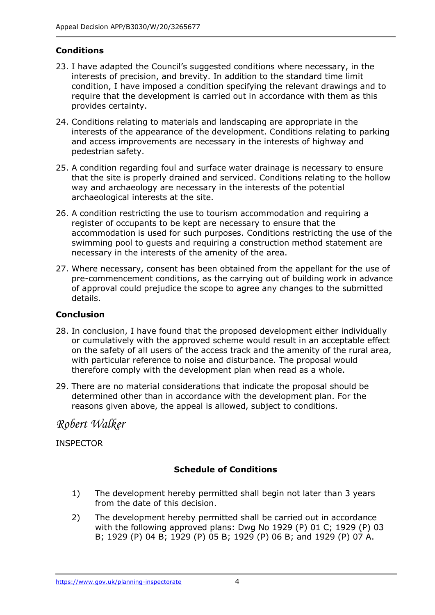## **Conditions**

- 23. I have adapted the Council's suggested conditions where necessary, in the interests of precision, and brevity. In addition to the standard time limit condition, I have imposed a condition specifying the relevant drawings and to require that the development is carried out in accordance with them as this provides certainty.
- 24. Conditions relating to materials and landscaping are appropriate in the interests of the appearance of the development. Conditions relating to parking and access improvements are necessary in the interests of highway and pedestrian safety.
- 25. A condition regarding foul and surface water drainage is necessary to ensure that the site is properly drained and serviced. Conditions relating to the hollow way and archaeology are necessary in the interests of the potential archaeological interests at the site.
- 26. A condition restricting the use to tourism accommodation and requiring a register of occupants to be kept are necessary to ensure that the accommodation is used for such purposes. Conditions restricting the use of the swimming pool to guests and requiring a construction method statement are necessary in the interests of the amenity of the area.
- 27. Where necessary, consent has been obtained from the appellant for the use of pre-commencement conditions, as the carrying out of building work in advance of approval could prejudice the scope to agree any changes to the submitted details.

### **Conclusion**

- 28. In conclusion, I have found that the proposed development either individually or cumulatively with the approved scheme would result in an acceptable effect on the safety of all users of the access track and the amenity of the rural area, with particular reference to noise and disturbance. The proposal would therefore comply with the development plan when read as a whole.
- 29. There are no material considerations that indicate the proposal should be determined other than in accordance with the development plan. For the reasons given above, the appeal is allowed, subject to conditions.

*Robert Walker* 

INSPECTOR

## **Schedule of Conditions**

- 1) The development hereby permitted shall begin not later than 3 years from the date of this decision.
- 2) The development hereby permitted shall be carried out in accordance with the following approved plans: Dwg No 1929 (P) 01 C; 1929 (P) 03 B; 1929 (P) 04 B; 1929 (P) 05 B; 1929 (P) 06 B; and 1929 (P) 07 A.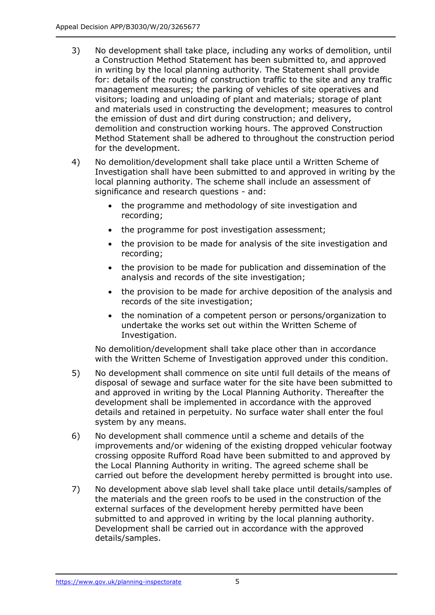- 3) No development shall take place, including any works of demolition, until a Construction Method Statement has been submitted to, and approved in writing by the local planning authority. The Statement shall provide for: details of the routing of construction traffic to the site and any traffic management measures; the parking of vehicles of site operatives and visitors; loading and unloading of plant and materials; storage of plant and materials used in constructing the development; measures to control the emission of dust and dirt during construction; and delivery, demolition and construction working hours. The approved Construction Method Statement shall be adhered to throughout the construction period for the development.
- 4) No demolition/development shall take place until a Written Scheme of Investigation shall have been submitted to and approved in writing by the local planning authority. The scheme shall include an assessment of significance and research questions - and:
	- the programme and methodology of site investigation and recording;
	- the programme for post investigation assessment;
	- the provision to be made for analysis of the site investigation and recording;
	- the provision to be made for publication and dissemination of the analysis and records of the site investigation;
	- the provision to be made for archive deposition of the analysis and records of the site investigation;
	- the nomination of a competent person or persons/organization to undertake the works set out within the Written Scheme of Investigation.

No demolition/development shall take place other than in accordance with the Written Scheme of Investigation approved under this condition.

- 5) No development shall commence on site until full details of the means of disposal of sewage and surface water for the site have been submitted to and approved in writing by the Local Planning Authority. Thereafter the development shall be implemented in accordance with the approved details and retained in perpetuity. No surface water shall enter the foul system by any means.
- 6) No development shall commence until a scheme and details of the improvements and/or widening of the existing dropped vehicular footway crossing opposite Rufford Road have been submitted to and approved by the Local Planning Authority in writing. The agreed scheme shall be carried out before the development hereby permitted is brought into use.
- 7) No development above slab level shall take place until details/samples of the materials and the green roofs to be used in the construction of the external surfaces of the development hereby permitted have been submitted to and approved in writing by the local planning authority. Development shall be carried out in accordance with the approved details/samples.